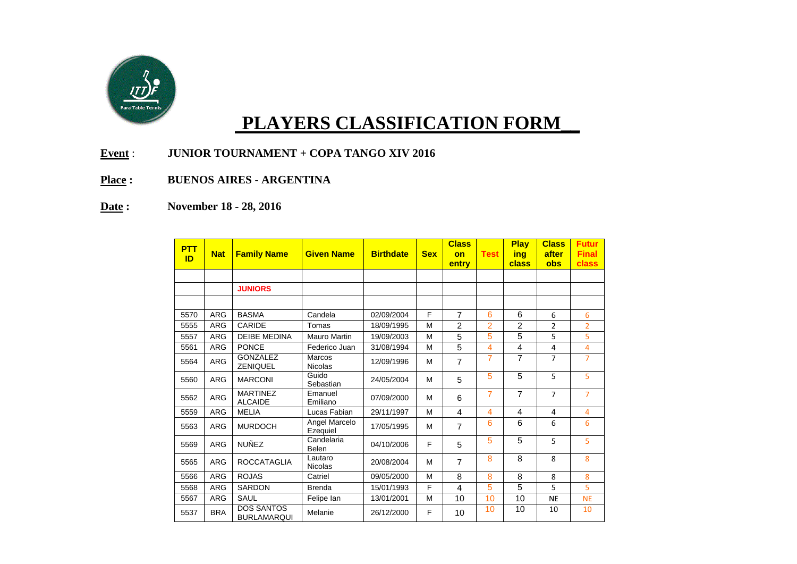

## **PLAYERS CLASSIFICATION FORM\_\_**

- **Event** : **JUNIOR TOURNAMENT + COPA TANGO XIV 2016**
- **Place : BUENOS AIRES - ARGENTINA**
- **Date : November 18 - 28, 2016**

| <b>PTT</b><br>ID | <b>Nat</b> | <b>Family Name</b>                      | <b>Given Name</b>         | <b>Birthdate</b> | <b>Sex</b> | <b>Class</b><br>on | <b>Test</b>    | <b>Play</b><br>ina | <b>Class</b><br>after | <b>Futur</b><br><b>Final</b> |
|------------------|------------|-----------------------------------------|---------------------------|------------------|------------|--------------------|----------------|--------------------|-----------------------|------------------------------|
|                  |            |                                         |                           |                  |            | entry              |                | class              | obs                   | class                        |
|                  |            |                                         |                           |                  |            |                    |                |                    |                       |                              |
|                  |            | <b>JUNIORS</b>                          |                           |                  |            |                    |                |                    |                       |                              |
|                  |            |                                         |                           |                  |            |                    |                |                    |                       |                              |
| 5570             | <b>ARG</b> | <b>BASMA</b>                            | Candela                   | 02/09/2004       | F          | $\overline{7}$     | 6              | 6                  | 6                     | 6                            |
| 5555             | <b>ARG</b> | CARIDE                                  | Tomas                     | 18/09/1995       | M          | $\overline{2}$     | $\overline{2}$ | $\overline{2}$     | $\overline{2}$        | $\overline{2}$               |
| 5557             | <b>ARG</b> | <b>DEIBE MEDINA</b>                     | <b>Mauro Martin</b>       | 19/09/2003       | М          | 5                  | 5              | 5                  | 5                     | 5                            |
| 5561             | <b>ARG</b> | <b>PONCE</b>                            | Federico Juan             | 31/08/1994       | M          | 5                  | 4              | 4                  | 4                     | 4                            |
| 5564             | <b>ARG</b> | <b>GONZALEZ</b><br><b>ZENIQUEL</b>      | Marcos<br><b>Nicolas</b>  | 12/09/1996       | M          | $\overline{7}$     | 7              | 7                  | $\overline{7}$        | $\overline{7}$               |
| 5560             | <b>ARG</b> | <b>MARCONI</b>                          | Guido<br>Sebastian        | 24/05/2004       | M          | 5                  | 5              | 5                  | 5                     | 5                            |
| 5562             | <b>ARG</b> | <b>MARTINEZ</b><br><b>ALCAIDE</b>       | Emanuel<br>Emiliano       | 07/09/2000       | M          | 6                  | $\overline{7}$ | $\overline{7}$     | $\overline{7}$        | $\overline{7}$               |
| 5559             | <b>ARG</b> | <b>MELIA</b>                            | Lucas Fabian              | 29/11/1997       | M          | $\overline{4}$     | $\overline{4}$ | 4                  | 4                     | 4                            |
| 5563             | <b>ARG</b> | <b>MURDOCH</b>                          | Angel Marcelo<br>Ezequiel | 17/05/1995       | M          | $\overline{7}$     | 6              | 6                  | 6                     | 6                            |
| 5569             | <b>ARG</b> | <b>NUÑEZ</b>                            | Candelaria<br>Belen       | 04/10/2006       | F          | 5                  | 5              | 5                  | 5                     | 5                            |
| 5565             | <b>ARG</b> | <b>ROCCATAGLIA</b>                      | Lautaro<br><b>Nicolas</b> | 20/08/2004       | M          | $\overline{7}$     | 8              | 8                  | 8                     | 8                            |
| 5566             | <b>ARG</b> | <b>ROJAS</b>                            | Catriel                   | 09/05/2000       | M          | 8                  | 8              | 8                  | 8                     | 8                            |
| 5568             | <b>ARG</b> | <b>SARDON</b>                           | <b>Brenda</b>             | 15/01/1993       | F          | 4                  | 5              | 5                  | 5                     | 5                            |
| 5567             | <b>ARG</b> | SAUL                                    | Felipe lan                | 13/01/2001       | M          | 10                 | 10             | 10                 | <b>NE</b>             | <b>NE</b>                    |
| 5537             | <b>BRA</b> | <b>DOS SANTOS</b><br><b>BURLAMARQUI</b> | Melanie                   | 26/12/2000       | F          | 10                 | 10             | 10                 | 10                    | 10                           |